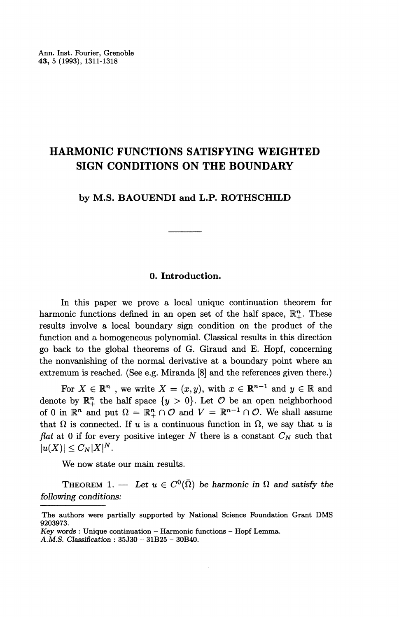# **HARMONIC FUNCTIONS SATISFYING WEIGHTED SIGN CONDITIONS ON THE BOUNDARY**

**by M.S. BAOUENDI and L.P. ROTHSCHILD**

### **0. Introduction.**

In this paper we prove a local unique continuation theorem for harmonic functions defined in an open set of the half space,  $\mathbb{R}^n_+$ . These results involve a local boundary sign condition on the product of the function and a homogeneous polynomial. Classical results in this direction go back to the global theorems of G. Giraud and E. Hopf, concerning the nonvanishing of the normal derivative at a boundary point where an extremum is reached. (See e.g. Miranda [8] and the references given there.)

For  $X \in \mathbb{R}^n$  , we write  $X = (x, y)$ , with  $x \in \mathbb{R}^{n-1}$  and  $y \in \mathbb{R}$  and denote by  $\mathbb{R}^n_+$  the half space  $\{y > 0\}$ . Let  $\mathcal O$  be an open neighborhood of 0 in  $\mathbb{R}^n$  and put  $\Omega = \mathbb{R}_+^n \cap \mathcal{O}$  and  $V = \mathbb{R}^{n-1} \cap \mathcal{O}$ . We shall assume that  $\Omega$  is connected. If u is a continuous function in  $\Omega$ , we say that u is *flat* at 0 if for every positive integer *N* there is a constant *CN* such that  $|u(X)| \leq C_N |X|^N$ .

We now state our main results.

THEOREM 1. — Let  $u \in C^{0}(\overline{\Omega})$  be harmonic in  $\Omega$  and satisfy the *following conditions:*

The authors were partially supported by National Science Foundation Grant DMS 9203973.

*Key words :* Unique continuation - Harmonic functions - Hopf Lemma.

*A.M.S. Classification :* 35J30 - 31B25 - 30B40.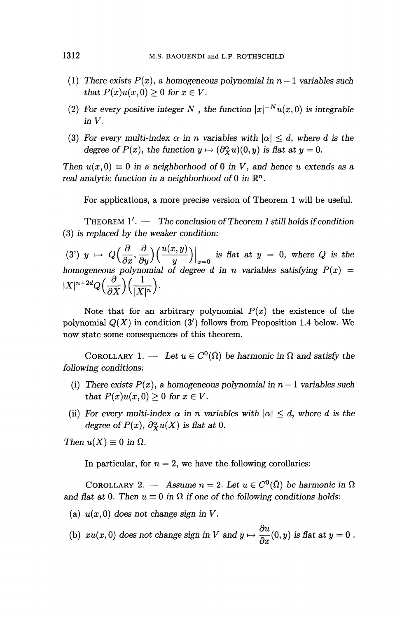- (1) There exists  $P(x)$ , a homogeneous polynomial in  $n-1$  variables such *that*  $P(x)u(x, 0) \geq 0$  for  $x \in V$ .
- (2) For every positive integer N, the function  $|x|^{-N}u(x,0)$  is integrable *inV.*
- (3) For every multi-index  $\alpha$  in n variables with  $|\alpha| \leq d$ , where d is the *degree of P(x), the function*  $y \mapsto (\partial_x^{\alpha} u)(0, y)$  *is flat at*  $y = 0$ *.*

*Then*  $u(x,0) \equiv 0$  *in a neighborhood* of 0 *in V, and hence u extends as a real analytic function in a neighborhood* of 0 in  $\mathbb{R}^n$ .

For applications, a more precise version of Theorem 1 will be useful.

THEOREM 1'. — *The conclusion of Theorem 1 still holds if condition* (3) is *replaced by the weaker condition:*

 $(3)$  $\langle y \rangle y \mapsto Q\Big(\frac{\partial}{\partial x}, \frac{\partial}{\partial y}\Big) \Big(\frac{u(x,y)}{y}\Big) \Big|_{x=0}$  is flat at  $y = 0$ , where Q is the *homogeneous polynomial of degree d in n variables satisfying*  $P(x) = |X|^{n+2d} Q\left(\frac{\partial}{\partial X}\right)\left(\frac{1}{|X|^n}\right)$ .

Note that for an arbitrary polynomial  $P(x)$  the existence of the polynomial  $Q(X)$  in condition  $(3')$  follows from Proposition 1.4 below. We now state some consequences of this theorem.

COROLLARY 1. — Let  $u \in C^{0}(\overline{\Omega})$  be harmonic in  $\Omega$  and satisfy the *following conditions:*

- (i) There exists  $P(x)$ , a homogeneous polynomial in  $n-1$  variables such *that*  $P(x)u(x, 0) \geq 0$  *for*  $x \in V$ .
- (ii) For every multi-index  $\alpha$  in n variables with  $|\alpha| \leq d$ , where d is the *degree of P(x),*  $\partial_{X}^{\alpha}u(X)$  *is flat at 0.*

*Then*  $u(X) \equiv 0$  in  $\Omega$ .

In particular, for  $n = 2$ , we have the following corollaries:

COROLLARY 2. — Assume  $n = 2$ . Let  $u \in C^0(\overline{\Omega})$  be harmonic in  $\Omega$ and flat at 0. Then  $u \equiv 0$  in  $\Omega$  if one of the following conditions holds:

- (a)  $u(x,0)$  does not change sign in V.
- (b)  $xu(x,0)$  does not change sign in V and  $y \mapsto \frac{\partial u}{\partial x}(0,y)$  is flat at  $y = 0$ .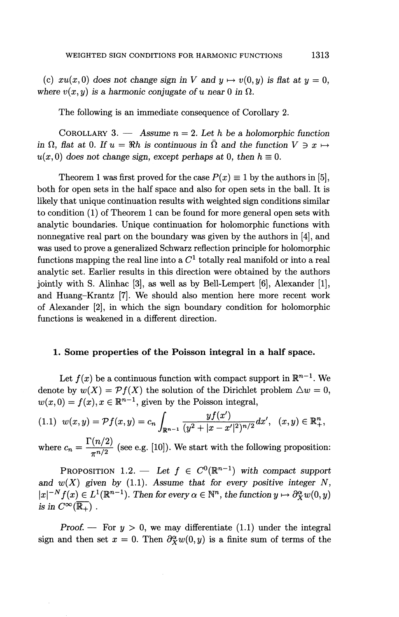(c)  $xu(x,0)$  does not change sign in V and  $y \mapsto v(0,y)$  is flat at  $y = 0$ , where  $v(x, y)$  is a harmonic conjugate of u near 0 in  $\Omega$ .

The following is an immediate consequence of Corollary 2.

COROLLARY 3. — Assume  $n = 2$ . Let h be a holomorphic function *in*  $\Omega$ *, flat at* 0. If  $u = \Re h$  is continuous in  $\overline{\Omega}$  and the function  $V \ni x \mapsto$  $u(x, 0)$  does not change sign, except perhaps at 0, then  $h \equiv 0$ .

Theorem 1 was first proved for the case  $P(x) \equiv 1$  by the authors in [5], both for open sets in the half space and also for open sets in the ball. It is likely that unique continuation results with weighted sign conditions similar to condition (1) of Theorem 1 can be found for more general open sets with analytic boundaries. Unique continuation for holomorphic functions with nonnegative real part on the boundary was given by the authors in [4], and was used to prove a generalized Schwarz reflection principle for holomorphic functions mapping the real line into a  $C<sup>1</sup>$  totally real manifold or into a real analytic set. Earlier results in this direction were obtained by the authors jointly with S. Alinhac [3], as well as by Bell-Lempert [6], Alexander [I], and Huang-Krantz [7]. We should also mention here more recent work of Alexander [2], in which the sign boundary condition for holomorphic functions is weakened in a different direction.

#### **1. Some properties of the Poisson integral in a half space.**

Let  $f(x)$  be a continuous function with compact support in  $\mathbb{R}^{n-1}$ . We denote by  $w(X) = \mathcal{P}f(X)$  the solution of the Dirichlet problem  $\Delta w = 0$ ,  $w(x,0) = f(x), x \in \mathbb{R}^{n-1}$ , given by the Poisson integral,

denote by 
$$
w(X) = \mathcal{P}f(X)
$$
 the solution of the Dirichlet problem  $\triangle w = w(x,0) = f(x), x \in \mathbb{R}^{n-1}$ , given by the Poisson integral,\n
$$
(1.1) \ w(x,y) = \mathcal{P}f(x,y) = c_n \int_{\mathbb{R}^{n-1}} \frac{y f(x')}{(y^2 + |x - x'|^2)^{n/2}} dx', \quad (x,y) \in \mathbb{R}^n_+
$$

where  $c_n = \frac{\Gamma(n/2)}{\pi^{n/2}}$  (see e.g. [10]). We start with the following proposition:

PROPOSITION 1.2. — Let  $f \in C^0(\mathbb{R}^{n-1})$ 1 ) with *compact support* and  $w(X)$  given by (1.1). Assume that for every positive integer N, and  $w(X)$  given by (1.1). Assume that for every positive integer  $N$ <sub>j</sub>  $|x|^{-N} f(x) \in L^1(\mathbb{R}^{n-1})$ . Then for every  $\alpha \in \mathbb{N}^n$ , the function  $y \mapsto \partial_X^{\alpha} w(0, y)$ *is in*  $C^{\infty}(\overline{\mathbb{R}_+})$ .

*Proof.* — For  $y > 0$ , we may differentiate (1.1) under the integral sign and then set  $x = 0$ . Then  $\partial_x^{\alpha} w(0, y)$  is a finite sum of terms of the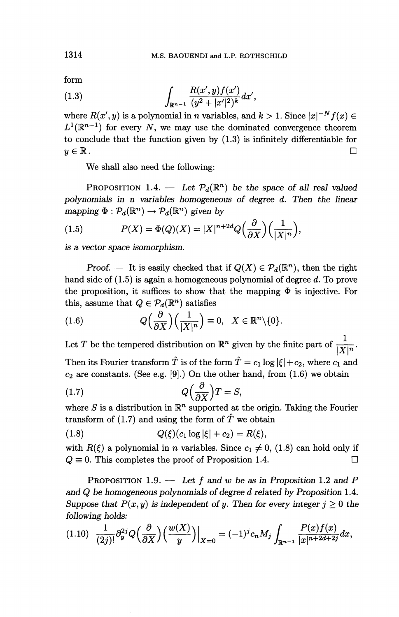form

(1.3) 
$$
\int_{\mathbb{R}^{n-1}} \frac{R(x', y) f(x')}{(y^2 + |x'|^2)^k} dx',
$$

where  $R(x', y)$  is a polynomial in *n* variables, and  $k > 1$ . Since  $|x|^{-N} f(x) \in$  $L^1(\mathbb{R}^{n-1})$  for every N, we may use the dominated convergence theorem to conclude that the function given by (1.3) is infinitely differentiable for  $y \in \mathbb{R}$ .

We shall also need the following:

PROPOSITION 1.4. — Let  $\mathcal{P}_d(\mathbb{R}^n)$  be the space of all real valued *polynomials in n variables homogeneous of degree d. Then the linear mapping*  $\Phi : \mathcal{P}_d(\mathbb{R}^n) \to \mathcal{P}_d(\mathbb{R}^n)$  given by

(1.5) 
$$
P(X) = \Phi(Q)(X) = |X|^{n+2d} Q\left(\frac{\partial}{\partial X}\right) \left(\frac{1}{|X|^n}\right),
$$

*is a vector space isomorphism.*

*Proof.* — It is easily checked that if  $Q(X) \in \mathcal{P}_d(\mathbb{R}^n)$ , then the right hand side of (1.5) is again a homogeneous polynomial of degree *d.* To prove the proposition, it suffices to show that the mapping  $\Phi$  is injective. For this, assume that  $Q \in \mathcal{P}_d(\mathbb{R}^n)$  satisfies

(1.6) 
$$
Q\left(\frac{\partial}{\partial X}\right)\left(\frac{1}{|X|^n}\right) \equiv 0, \quad X \in \mathbb{R}^n \setminus \{0\}.
$$

Let *T* be the tempered distribution on  $\mathbb{R}^n$  given by the finite part of  $\frac{1}{\mathbf{1} \times \mathbf{1} \times \mathbf{1}}$ Then its Fourier transform  $\hat{T}$  is of the form  $\hat{T} = c_1 \log |\xi| + c_2$ , where  $c_1$  and  $c_2$  are constants. (See e.g. [9].) On the other hand, from (1.6) we obtain<br>
(1.7)  $Q\left(\frac{\partial}{\partial X}\right)T = S$ ,

$$
(1.7) \tQ\left(\frac{\partial}{\partial X}\right)T = S,
$$

where *S* is a distribution in  $\mathbb{R}^n$  supported at the origin. Taking the Fourie transform of (1.7) and using the form of  $\hat{T}$  we obtain

(1.8) 
$$
Q(\xi)(c_1 \log |\xi| + c_2) = R(\xi),
$$

with  $R(\xi)$  a polynomial in n variables. Since  $c_1 \neq 0$ , (1.8) can hold only if  $Q \equiv 0$ . This completes the proof of Proposition 1.4.

PROPOSITION 1.9. — *Let f and w be as in Proposition* 1.2 *and P and Q be homogeneous polynomials of degree d related by Proposition* 1.4. *Suppose that*  $P(x, y)$  *is independent of y. Then for every integer*  $j \geq 0$  *the following holds:*

following holds:  
\n
$$
(1.10) \frac{1}{(2j)!} \partial_y^{2j} Q\left(\frac{\partial}{\partial X}\right) \left(\frac{w(X)}{y}\right) \Big|_{X=0} = (-1)^j c_n M_j \int_{\mathbb{R}^{n-1}} \frac{P(x)f(x)}{|x|^{n+2d+2j}} dx,
$$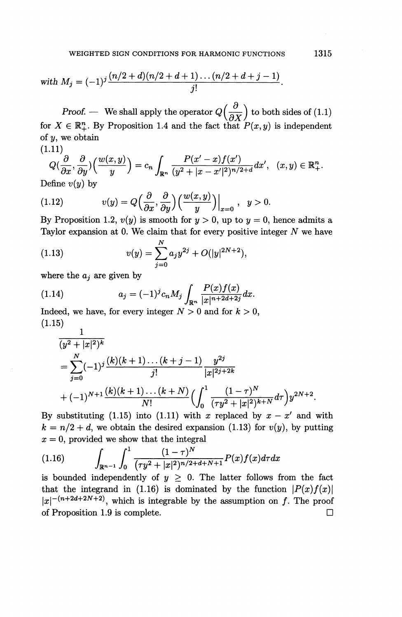with 
$$
M_j = (-1)^j \frac{(n/2 + d)(n/2 + d + 1) \dots (n/2 + d + j - 1)}{j!}
$$
.

*Proof.* — We shall apply the operator  $Q\left(\frac{\partial}{\partial X}\right)$  to both sides of (1.1) for  $X \in \mathbb{R}_{+}^{n}$ . By Proposition 1.4 and the fact that  $P(x, y)$  is independent of  $y$ , we obtain (1.11)

1.11)  
\n
$$
Q(\frac{\partial}{\partial x}, \frac{\partial}{\partial y})\left(\frac{w(x,y)}{y}\right) = c_n \int_{\mathbb{R}^n} \frac{P(x'-x)f(x')}{(y^2+|x-x'|^2)^{n/2+d}} dx', \quad (x,y) \in \mathbb{R}^n_+.
$$

Define *v(y)* by

Define 
$$
v(y)
$$
 by  
\n(1.12) 
$$
v(y) = Q\left(\frac{\partial}{\partial x}, \frac{\partial}{\partial y}\right) \left(\frac{w(x, y)}{y}\right)\Big|_{x=0}, \quad y > 0.
$$
\nBy Proposition 1.3. (a) is a result for  $y > 0$  and  $y > 0$ .

By Proposition 1.2,  $v(y)$  is smooth for  $y > 0$ , up to  $y = 0$ , hence admits a Taylor expansion at 0. We claim that for every positive integer *N* we have

(1.13) 
$$
v(y) = \sum_{j=0}^{N} a_j y^{2j} + O(|y|^{2N+2}),
$$

where the  $a_i$  are given by

(1.14) 
$$
a_j = (-1)^j c_n M_j \int_{\mathbb{R}^n} \frac{P(x) f(x)}{|x|^{n+2d+2j}} dx.
$$

Indeed, we have, for every integer  $N > 0$  and for  $k > 0$ , (1.15)  $\mathbf{1}$ 

$$
\frac{1}{(y^2+|x|^2)^k}
$$
\n
$$
= \sum_{j=0}^N (-1)^j \frac{(k)(k+1)\dots(k+j-1)}{j!} \frac{y^{2j}}{|x|^{2j+2k}}
$$
\n
$$
+ (-1)^{N+1} \frac{(k)(k+1)\dots(k+N)}{N!} \Big(\int_0^1 \frac{(1-\tau)^N}{(\tau y^2+|x|^2)^{k+N}} d\tau\Big) y^{2N+2}.
$$

By substituting (1.15) into (1.11) with x replaced by  $x - x'$  and with  $k = n/2 + d$ , we obtain the desired expansion (1.13) for  $v(y)$ , by putting

$$
x = 0
$$
, provided we show that the integral  
\n(1.16) 
$$
\int_{\mathbb{R}^{n-1}} \int_0^1 \frac{(1-\tau)^N}{(\tau y^2 + |x|^2)^{n/2 + d + N + 1}} P(x) f(x) d\tau dx
$$

is bounded independently of  $y \geq 0$ . The latter follows from the fact that the integrand in (1.16) is dominated by the function  $\left|P(x)f(x)\right|$  $|x|^{-(n+2d+2N+2)}$ , which is integrable by the assumption on f. The proof of Proposition 1.9 is complete.  $\Box$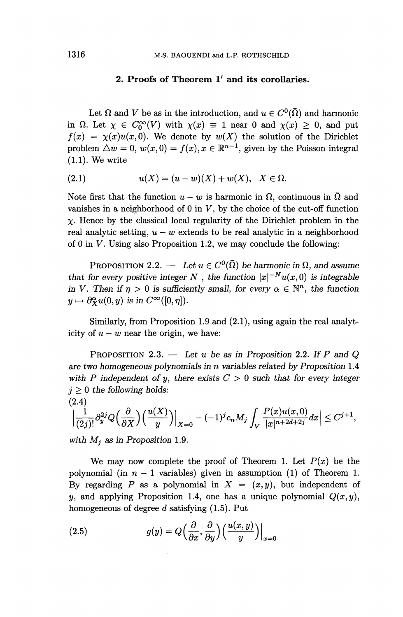## 2. Proofs of Theorem 1' and its corollaries.

Let  $\Omega$  and *V* be as in the introduction, and  $u \in C^{0}(\overline{\Omega})$  and harmonic in  $\Omega$ . Let  $\chi \in C_0^{\infty}(V)$  with  $\chi(x) \equiv 1$  near 0 and  $\chi(x) \geq 0$ , and put  $f(x) = \chi(x)u(x,0)$ . We denote by  $w(X)$  the solution of the Dirichlet problem  $\triangle w = 0$ ,  $w(x, 0) = f(x)$ ,  $x \in \mathbb{R}^{n-1}$ , given by the Poisson integral (1.1). We write

(2.1) 
$$
u(X) = (u - w)(X) + w(X), \quad X \in \Omega.
$$

Note first that the function  $u - w$  is harmonic in  $\Omega$ , continuous in  $\overline{\Omega}$  and vanishes in a neighborhood of  $0$  in  $V$ , by the choice of the cut-off function  $\chi$ . Hence by the classical local regularity of the Dirichlet problem in the real analytic setting,  $u - w$  extends to be real analytic in a neighborhood of 0 in *V.* Using also Proposition 1.2, we may conclude the following:

PROPOSITION 2.2. — Let  $u \in C^{0}(\overline{\Omega})$  be harmonic in  $\Omega$ , and assume that for every positive integer N, the function  $|x|^{-N}u(x,0)$  is integrable *in V. Then if*  $\eta > 0$  *is sufficiently small, for every*  $\alpha \in \mathbb{N}^n$ *, the function*  $y \mapsto \partial_{\mathbf{X}}^{\alpha}u(0,y)$  is in  $C^{\infty}([0,\eta]).$ 

Similarly, from Proposition 1.9 and (2.1), using again the real analyticity of  $u - w$  near the origin, we have:

PROPOSITION 2.3. — Let u be as in Proposition 2.2. If P and Q *are two homogeneous polynomials in n variables related by Proposition* 1.4 with P independent of y, there exists  $C > 0$  such that for every integer  $j \geq 0$  the following holds:  $(2.4)$ 

$$
\left|\frac{1}{(2j)!}\partial_y^{2j}Q\left(\frac{\partial}{\partial X}\right)\left(\frac{u(X)}{y}\right)\right|_{X=0}-(-1)^jc_nM_j\int_V\frac{P(x)u(x,0)}{|x|^{n+2d+2j}}dx\right|\leq C^{j+1},
$$

*with Mj as in Proposition* 1.9.

We may now complete the proof of Theorem 1. Let  $P(x)$  be the polynomial (in  $n-1$  variables) given in assumption (1) of Theorem 1. By regarding P as a polynomial in  $X = (x, y)$ , but independent of *y*, and applying Proposition 1.4, one has a unique polynomial  $Q(x, y)$ ,

homogeneous of degree *d* satisfying (1.5). Put  
\n(2.5) 
$$
g(y) = Q\left(\frac{\partial}{\partial x}, \frac{\partial}{\partial y}\right) \left(\frac{u(x, y)}{y}\right)\Big|_{x=0}
$$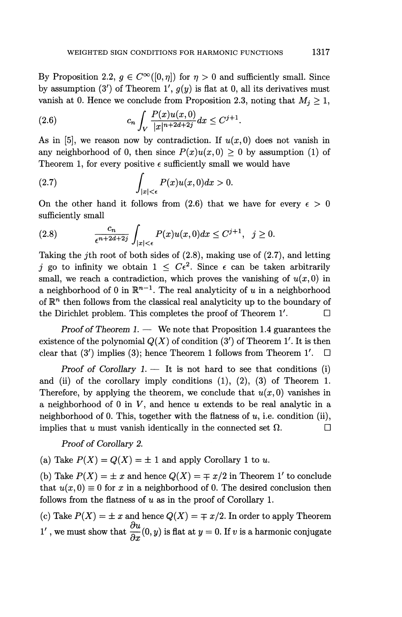By Proposition 2.2,  $g \in C^{\infty}([0,\eta])$  for  $\eta>0$  and sufficiently small. Since by assumption (3') of Theorem 1',  $g(y)$  is flat at 0, all its derivatives must vanish at 0. Hence we conclude from Proposition 2.3, noting that  $M_i \geq 1$ ,

(2.6) 
$$
c_n \int_V \frac{P(x)u(x,0)}{|x|^{n+2d+2j}} dx \leq C^{j+1}.
$$

As in [5], we reason now by contradiction. If  $u(x,0)$  does not vanish in any neighborhood of 0, then since  $P(x)u(x,0) > 0$  by assumption (1) of Theorem 1, for every positive  $\epsilon$  sufficiently small we would have

(2.7) 
$$
\int_{|x|<\epsilon} P(x)u(x,0)dx>0.
$$

On the other hand it follows from (2.6) that we have for every  $\epsilon > 0$ sufficiently small

$$
(2.8) \qquad \qquad \frac{c_n}{\epsilon^{n+2d+2j}}\int_{|x|<\epsilon} P(x)u(x,0)dx \leq C^{j+1}, \quad j\geq 0.
$$

Taking the *j*th root of both sides of  $(2.8)$ , making use of  $(2.7)$ , and letting *j* go to infinity we obtain  $1 \leq C\epsilon^2$ . Since  $\epsilon$  can be taken arbitrarily small, we reach a contradiction, which proves the vanishing of  $u(x,0)$  in a neighborhood of 0 in  $\mathbb{R}^{n-1}$ . The real analyticity of *u* in a neighborhood of  $\mathbb{R}^n$  then follows from the classical real analyticity up to the boundary of the Dirichlet problem. This completes the proof of Theorem  $1'$ .  $\Box$ 

*Proof of Theorem 1. —* We note that Proposition 1.4 guarantees the existence of the polynomial  $Q(X)$  of condition  $(3')$  of Theorem 1'. It is then clear that (3') implies (3); hence Theorem 1 follows from Theorem 1'.  $\Box$ 

*Proof of Corollary 1.* — It is not hard to see that conditions (i) and (ii) of the corollary imply conditions  $(1)$ ,  $(2)$ ,  $(3)$  of Theorem 1. Therefore, by applying the theorem, we conclude that  $u(x, 0)$  vanishes in a neighborhood of 0 in  $V$ , and hence  $u$  extends to be real analytic in a neighborhood of 0. This, together with the flatness of  $u$ , i.e. condition (ii), implies that u must vanish identically in the connected set  $\Omega$ .

*Proof of Corollary 2.*

(a) Take  $P(X) = Q(X) = \pm 1$  and apply Corollary 1 to *u*.

(b) Take  $P(X) = \pm x$  and hence  $Q(X) = \mp x/2$  in Theorem 1' to conclude that  $u(x, 0) \equiv 0$  for x in a neighborhood of 0. The desired conclusion then follows from the flatness of *u* as in the proof of Corollary 1.

(c) Take  $P(X) = \pm x$  and hence  $Q(X) = \mp x/2$ . In order to apply Theorem  $Q^{\prime}$ , we must show that  $\frac{\partial u}{\partial x}(0, y)$  is flat at  $y = 0$ . If *v* is a harmonic conjugate